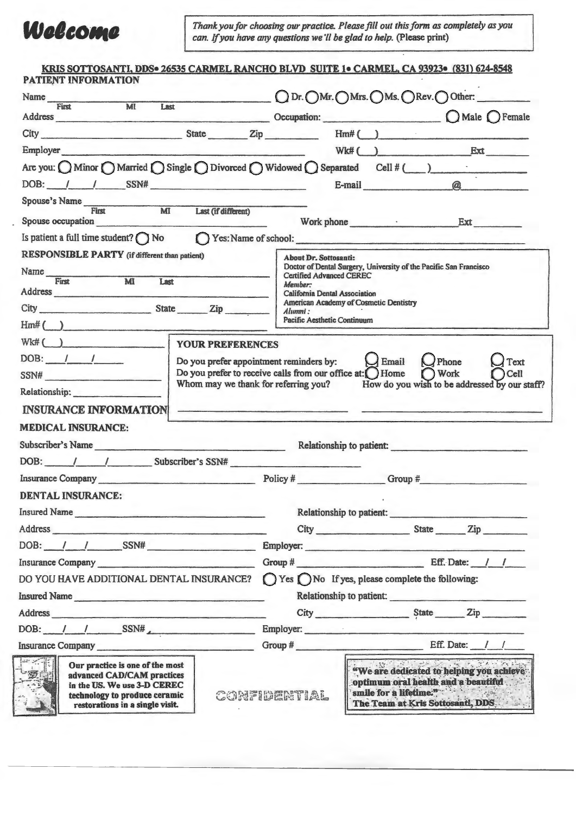

*Thank you for choosing our practice. Please fill out this form as completely as you can. If you have any questions we 'II be glad to help.* (Please print)

| KRIS SOTTOSANTI, DDS• 26535 CARMEL RANCHO BLVD SUITE 1• CARMEL, CA 93923• (831) 624-8548<br>PATIENT INFORMATION                                                                                                                        |                                                                   |                                                                                  |                                                                                                                                               |  |  |
|----------------------------------------------------------------------------------------------------------------------------------------------------------------------------------------------------------------------------------------|-------------------------------------------------------------------|----------------------------------------------------------------------------------|-----------------------------------------------------------------------------------------------------------------------------------------------|--|--|
| Name<br>First MI                                                                                                                                                                                                                       |                                                                   |                                                                                  | ODr. OMr. OMrs. OMs. ORev. OOther:                                                                                                            |  |  |
| Last<br>Address Occupation: Occupation:                                                                                                                                                                                                |                                                                   |                                                                                  | $O$ Male $O$ Female                                                                                                                           |  |  |
| City State Zip Hm# ()                                                                                                                                                                                                                  |                                                                   |                                                                                  |                                                                                                                                               |  |  |
| Employer                                                                                                                                                                                                                               |                                                                   |                                                                                  | $Wk#$ ( ) Ext                                                                                                                                 |  |  |
| Are you: $\bigcirc$ Minor $\bigcirc$ Married $\bigcirc$ Single $\bigcirc$ Divorced $\bigcirc$ Widowed $\bigcirc$ Separated Cell # ( )                                                                                                  |                                                                   |                                                                                  |                                                                                                                                               |  |  |
| $DOB:$ $1$ $1$ $SSN#$                                                                                                                                                                                                                  |                                                                   | E-mail                                                                           | $\omega$                                                                                                                                      |  |  |
| Spouse's Name First MI Last (if different)                                                                                                                                                                                             |                                                                   |                                                                                  |                                                                                                                                               |  |  |
| Spouse occupation                                                                                                                                                                                                                      |                                                                   |                                                                                  | Work phone Ext                                                                                                                                |  |  |
| Is patient a full time student? $\bigcap$ No $\bigcap$ Yes: Name of school:                                                                                                                                                            |                                                                   |                                                                                  |                                                                                                                                               |  |  |
| RESPONSIBLE PARTY (if different than patient)                                                                                                                                                                                          | <b>About Dr. Sottosanti:</b>                                      |                                                                                  |                                                                                                                                               |  |  |
| Name First MI                                                                                                                                                                                                                          | <b>Certified Advanced CEREC</b>                                   | Doctor of Dental Surgery, University of the Pacific San Francisco                |                                                                                                                                               |  |  |
| Last<br>Address and the contract of the contract of the contract of the contract of the contract of the contract of the contract of the contract of the contract of the contract of the contract of the contract of the contract of th | Member:<br><b>California Dental Association</b>                   |                                                                                  |                                                                                                                                               |  |  |
| City State Zip                                                                                                                                                                                                                         |                                                                   | American Academy of Cosmetic Dentistry<br>Alumni:<br>Pacific Aesthetic Continuum |                                                                                                                                               |  |  |
| $\text{Hm}\text{#}$ ( )                                                                                                                                                                                                                |                                                                   |                                                                                  |                                                                                                                                               |  |  |
| $Wk\#$ ( )<br><b>YOUR PREFERENCES</b>                                                                                                                                                                                                  |                                                                   |                                                                                  |                                                                                                                                               |  |  |
| $DOB:$ $1$ $1$                                                                                                                                                                                                                         | Do you prefer appointment reminders by: $\bigcup$ Email           |                                                                                  | $\bigcup$ Phone<br>Text                                                                                                                       |  |  |
| SSN#                                                                                                                                                                                                                                   | Do you prefer to receive calls from our office at: $\bigcap$ Home |                                                                                  | Work<br>Cell                                                                                                                                  |  |  |
| Relationship:                                                                                                                                                                                                                          |                                                                   |                                                                                  | Whom may we thank for referring you? How do you wish to be addressed by our staff?                                                            |  |  |
| <b>INSURANCE INFORMATION</b>                                                                                                                                                                                                           |                                                                   |                                                                                  |                                                                                                                                               |  |  |
| <b>MEDICAL INSURANCE:</b>                                                                                                                                                                                                              |                                                                   |                                                                                  |                                                                                                                                               |  |  |
| Subscriber's Name Relationship to patient:                                                                                                                                                                                             |                                                                   |                                                                                  |                                                                                                                                               |  |  |
| DOB: / / Subscriber's SSN#                                                                                                                                                                                                             |                                                                   |                                                                                  |                                                                                                                                               |  |  |
|                                                                                                                                                                                                                                        | <b>Commercial Commercial</b>                                      |                                                                                  |                                                                                                                                               |  |  |
| Insurance Company Policy # Policy #                                                                                                                                                                                                    |                                                                   |                                                                                  | Group $#$                                                                                                                                     |  |  |
| <b>DENTAL INSURANCE:</b>                                                                                                                                                                                                               |                                                                   |                                                                                  |                                                                                                                                               |  |  |
| Insured Name                                                                                                                                                                                                                           |                                                                   |                                                                                  | Relationship to patient:                                                                                                                      |  |  |
| Address                                                                                                                                                                                                                                |                                                                   |                                                                                  |                                                                                                                                               |  |  |
| DOB: / / SSN# Employer:                                                                                                                                                                                                                |                                                                   |                                                                                  |                                                                                                                                               |  |  |
| Insurance Company                                                                                                                                                                                                                      |                                                                   |                                                                                  | Group $\#$ Eff. Date: $1 \quad 1$                                                                                                             |  |  |
| DO YOU HAVE ADDITIONAL DENTAL INSURANCE?                                                                                                                                                                                               |                                                                   | ○ Yes ○ No If yes, please complete the following:                                |                                                                                                                                               |  |  |
| Insured Name                                                                                                                                                                                                                           |                                                                   |                                                                                  | Relationship to patient:                                                                                                                      |  |  |
| Address and the contract of the contract of the contract of the contract of the contract of the contract of the contract of the contract of the contract of the contract of the contract of the contract of the contract of th         |                                                                   |                                                                                  |                                                                                                                                               |  |  |
| DOB: $1 / \sqrt{SSN#}$                                                                                                                                                                                                                 |                                                                   |                                                                                  | Employer:                                                                                                                                     |  |  |
| Insurance Company <b>Executive Company</b>                                                                                                                                                                                             |                                                                   |                                                                                  | Group # Eff. Date: / /                                                                                                                        |  |  |
| Our practice is one of the most<br>advanced CAD/CAM practices<br>in the US. We use 3-D CEREC<br>technology to produce ceramic<br>restorations in a single visit.                                                                       | CONFIDENTIAL                                                      |                                                                                  | "We are dedicated to helping you achieve<br>optimum oral health and a beautiful<br>smile for a lifetime."<br>The Team at Kris Sottosanti, DDS |  |  |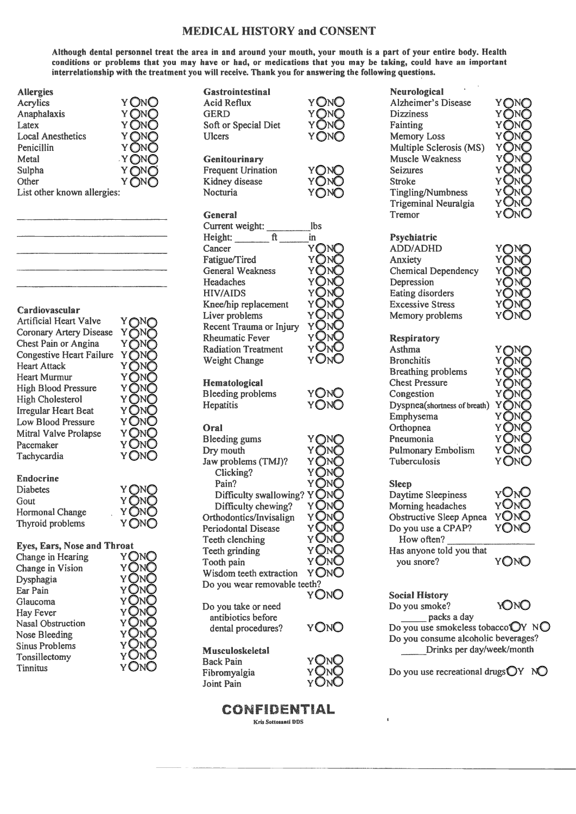## **MEDICAL HISTORY and CONSENT**

Although dental personnel treat the area in and around your mouth, your mouth is a part of your entire body. Health conditions or problems that you may have or had, or medications that you may be taking, could have an important interrelationship with the treatment you will receive. Thank you for answering the following questions.

| <b>Allergies</b>            |       |
|-----------------------------|-------|
| Acrylics                    | Y ONC |
| Anaphalaxis                 | ΥC    |
| Latex                       | Yζ    |
| <b>Local Anesthetics</b>    |       |
| Penicillin                  |       |
| Metal                       | .Y(   |
| Sulpha                      |       |
| Other                       |       |
| List other known allergies: |       |
|                             |       |

### Cardiovascular

**Sinus Problems** 

Tonsillectomy

**Tinnitus** 

| <b>Artificial Heart Valve</b>                                                      | Y∩M                             |
|------------------------------------------------------------------------------------|---------------------------------|
| <b>Coronary Artery Disease</b>                                                     | YON                             |
| Chest Pain or Angina                                                               | Y∩N                             |
| <b>Congestive Heart Failure</b>                                                    | YONC                            |
| <b>Heart Attack</b>                                                                | YON                             |
| <b>Heart Murmur</b>                                                                | YON(                            |
| <b>High Blood Pressure</b>                                                         | Y ONC                           |
| <b>High Cholesterol</b>                                                            | Y ONC                           |
| <b>Irregular Heart Beat</b>                                                        | Y ONC                           |
| Low Blood Pressure                                                                 | y OnO                           |
| Mitral Valve Prolapse                                                              | Y ONO                           |
| Pacemaker                                                                          | Y ONO                           |
| Tachycardia                                                                        | YONO                            |
| <b>Endocrine</b><br><b>Diabetes</b><br>Gout<br>Hormonal Change<br>Thyroid problems | Y QN(<br>Y ÕNĆ<br>Y ONO<br>YONO |
| <b>Eyes, Ears, Nose and Throat</b>                                                 | YON                             |
| Change in Hearing                                                                  | YONC                            |
| Change in Vision                                                                   | YΓ                              |
| Dysphagia                                                                          | INC                             |
| Ear Pain                                                                           | YON                             |
| Glaucoma                                                                           | y On(                           |
| Hay Fever                                                                          | y OnC                           |
| <b>Nasal Obstruction</b>                                                           | y OnC                           |
| Nose Bleeding                                                                      | YONO                            |

**Gastrointestinal Acid Reflux GERD** Soft or Special Diet **Ulcers Genitourinary** Frequent Urination Kidney disease

Nocturia



Y∩N€

YONO

YONO

| <b>General</b>             |     |
|----------------------------|-----|
| Current weight:            | lbs |
| Height:<br>ft              | in  |
| Cancer                     |     |
| Fatigue/Tired              |     |
| <b>General Weakness</b>    |     |
| Headaches                  |     |
| <b>HIV/AIDS</b>            |     |
| Knee/hip replacement       |     |
| Liver problems             |     |
| Recent Trauma or Injury    |     |
| <b>Rheumatic Fever</b>     |     |
| <b>Radiation Treatment</b> |     |
| <b>Weight Change</b>       |     |

### Hematological

**Bleeding problems** Hepatitis

### Oral

Joint Pain

| Bleeding gums                | Y     |
|------------------------------|-------|
| Dry mouth                    | Y(    |
| Jaw problems (TMJ)?          | Y(    |
| Clicking?                    | Yί    |
| Pain?                        | Yί    |
| Difficulty swallowing?       | Y     |
| Difficulty chewing?          | YC    |
| Orthodontics/Invisalign      | y On( |
| <b>Periodontal Disease</b>   | Y١    |
| Teeth clenching              | YÛ    |
| Teeth grinding               | Y On( |
| Tooth pain                   | y OnC |
| Wisdom teeth extraction      | Y ONO |
| Do you wear removable teeth? |       |
|                              | Y ON( |
| Do you take or need          |       |
| antibiotics before           |       |
| dental procedures?           | Y ONC |
| Musculoskeletal              |       |
| <b>Back Pain</b>             |       |
| Fibromyalgia                 |       |



YŎNŎ

| <b>Dizziness</b>            |
|-----------------------------|
| Fainting                    |
| <b>Memory Loss</b>          |
| Multiple Sclerosis (MS)     |
| Muscle Weakness             |
| <b>Seizures</b>             |
| Stroke                      |
| <b>Tingling/Numbness</b>    |
| <b>Trigeminal Neuralgia</b> |
| Tremor                      |
|                             |
| Psychiatric                 |
| <b>ADD/ADHD</b>             |
| Anxiety                     |
| <b>Chemical Dependency</b>  |
| Depression                  |

Eating disorders **Excessive Stress** 

Memory problems

**Neurological** 

Alzheimer's Disease

Y

YON

#### **Respiratory** Asthma **Bronchitis Breathing problems Chest Pressure** Congestion Dyspnea(shortness of breath) Emphysema Orthopnea Pneumonia **Pulmonary Embolism**



# **Sleep**

Tuberculosis

YONO Daytime Sleepiness Morning headaches YONC Obstructive Sleep Apnea YONO Do you use a CPAP? **YONO** How often? Has anyone told you that **YONO** you snore?

**Social History** Do you smoke?



packs a day Do you use smokeless tobacco OY NO Do you consume alcoholic beverages? Drinks per day/week/month

Do you use recreational drugs $\bigcirc Y$  NO

Kris Sottosanti DDS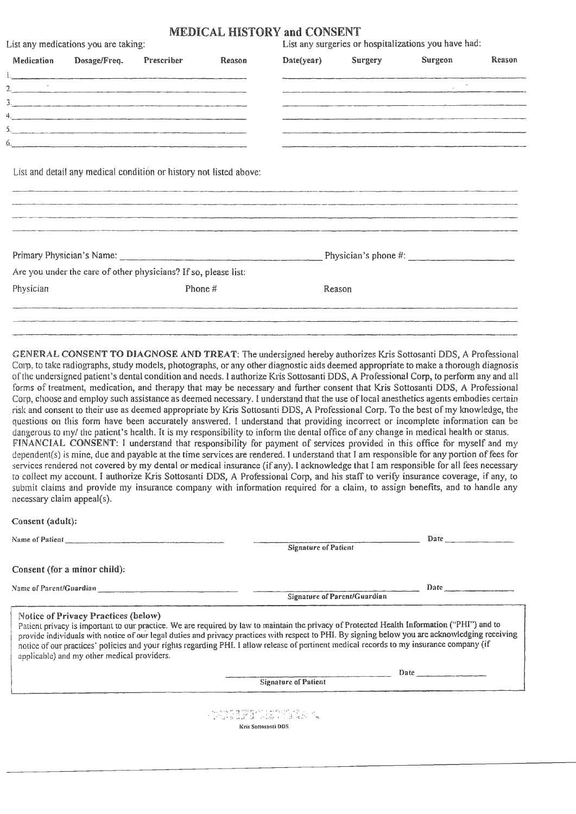### MEDICAL HISTORY and CONSENT

|            | List any medications you are taking:                            |            |         |            |         | List any surgeries or hospitalizations you have had: |        |
|------------|-----------------------------------------------------------------|------------|---------|------------|---------|------------------------------------------------------|--------|
| Medication | Dosage/Freq.                                                    | Prescriber | Reason  | Date(year) | Surgery | Surgeon                                              | Reason |
|            |                                                                 |            |         |            |         |                                                      |        |
|            |                                                                 |            |         |            |         |                                                      |        |
|            |                                                                 |            |         |            |         |                                                      |        |
|            |                                                                 |            |         |            |         |                                                      |        |
|            |                                                                 |            |         |            |         |                                                      |        |
|            |                                                                 |            |         |            |         |                                                      |        |
|            |                                                                 |            |         |            |         |                                                      |        |
|            | Are you under the care of other physicians? If so, please list: |            |         |            |         |                                                      |        |
| Physician  |                                                                 |            | Phone # |            | Reason  |                                                      |        |
|            |                                                                 |            |         |            |         |                                                      |        |
|            |                                                                 |            |         |            |         |                                                      |        |

GENERAL CONSENT TO DIAGNOSE AND TREAT: The undersigned hereby authorizes Kris Sottosanti DDS, A Professional Corp, to take radiographs, study models, photographs, or any other diagnostic aids deemed appropriate to make a thorough diagnosis of the undersigned patient's dental condition and needs. I authorize Kris Sottosanti DDS, A Professional Corp, to perform any and all forms of treatment, medication, and therapy that may be necessary and further consent that Kris Sottosanti DDS, A Professional Corp, choose and employ such assistance as deemed necessary. I understand that the use of local anesthetics agents embodies certain risk and consent to their use as deemed appropriate by Kris Sottosanti DDS, A Professional Corp. To the best ofmy knowledge, the questions on this form have been accurately answered. I understand that providing incorrect or incomplete infonnation can be dangerous to my/ the patient's health. It is my responsibility to inform the dental office of any change in medical health or status. FINANCIAL CONSENT: I understand that responsibility for payment of services provided in this office for myself and my dependent(s) is mine, due and payable at the time services are rendered. I understand that I am responsible for any portion of fees for services rendered not covered by my dental or medical insurance (if any). I acknowledge that I am responsible for all fees necessary to collect my account. I authorize Kris Sottosanti DDS, A Professional Corp, and his staff to verify insurance coverage, if any, to submit claims and provide my insurance company with information required for a claim, to assign benefits, and to handle any necessary claim appeal(s).

Consent (adult):

| Name of Patient and the contract of the contract of Patient | Date                                                                                                                                                                                                                                                                                                                                                                                                                                        |  |  |
|-------------------------------------------------------------|---------------------------------------------------------------------------------------------------------------------------------------------------------------------------------------------------------------------------------------------------------------------------------------------------------------------------------------------------------------------------------------------------------------------------------------------|--|--|
|                                                             | <b>Signature of Patient</b>                                                                                                                                                                                                                                                                                                                                                                                                                 |  |  |
| Consent (for a minor child):                                |                                                                                                                                                                                                                                                                                                                                                                                                                                             |  |  |
| Name of Parent/Guardian                                     | <b>Date</b>                                                                                                                                                                                                                                                                                                                                                                                                                                 |  |  |
|                                                             | Signature of Parent/Guardian                                                                                                                                                                                                                                                                                                                                                                                                                |  |  |
| applicable) and my other medical providers.                 | Patient privacy is important to our practice. We are required by law to maintain the privacy of Protected Health Information ("PHI") and to<br>provide individuals with notice of our legal duties and privacy practices with respect to PHI. By signing below you are acknowledging receiving<br>notice of our practices' policies and your rights regarding PHI. I allow release of pertinent medical records to my insurance company (if |  |  |
|                                                             | Date and the contract of the contract of the contract of the contract of the contract of the contract of the contract of the contract of the contract of the contract of the contract of the contract of the contract of the c                                                                                                                                                                                                              |  |  |
|                                                             | <b>Signature of Patient</b>                                                                                                                                                                                                                                                                                                                                                                                                                 |  |  |
|                                                             | <u>Service Theory (Service Script)</u><br><b>Kris Sottosanti DDS</b>                                                                                                                                                                                                                                                                                                                                                                        |  |  |